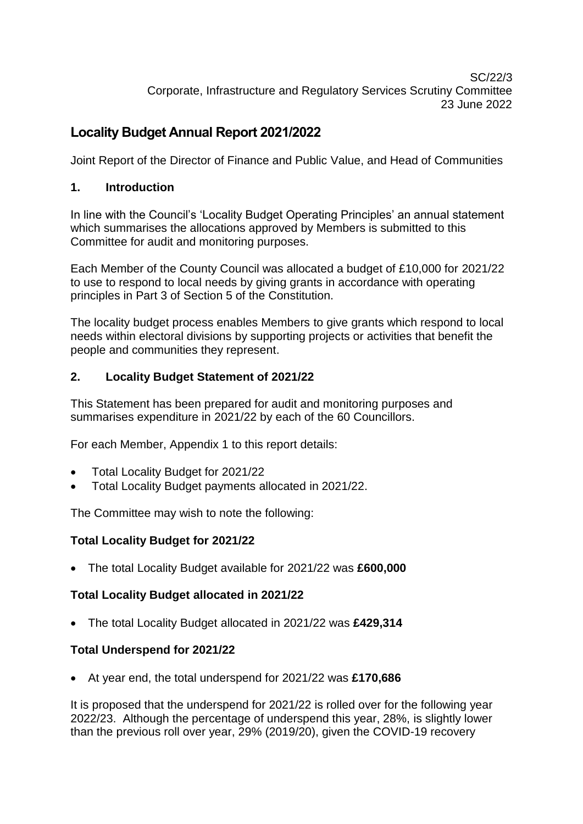SC/22/3 Corporate, Infrastructure and Regulatory Services Scrutiny Committee 23 June 2022

# **Locality Budget Annual Report 2021/2022**

Joint Report of the Director of Finance and Public Value, and Head of Communities

## **1. Introduction**

In line with the Council's 'Locality Budget Operating Principles' an annual statement which summarises the allocations approved by Members is submitted to this Committee for audit and monitoring purposes.

Each Member of the County Council was allocated a budget of £10,000 for 2021/22 to use to respond to local needs by giving grants in accordance with operating principles in Part 3 of Section 5 of the Constitution.

The locality budget process enables Members to give grants which respond to local needs within electoral divisions by supporting projects or activities that benefit the people and communities they represent.

## **2. Locality Budget Statement of 2021/22**

This Statement has been prepared for audit and monitoring purposes and summarises expenditure in 2021/22 by each of the 60 Councillors.

For each Member, Appendix 1 to this report details:

- Total Locality Budget for 2021/22
- Total Locality Budget payments allocated in 2021/22.

The Committee may wish to note the following:

#### **Total Locality Budget for 2021/22**

The total Locality Budget available for 2021/22 was **£600,000**

#### **Total Locality Budget allocated in 2021/22**

The total Locality Budget allocated in 2021/22 was **£429,314**

#### **Total Underspend for 2021/22**

At year end, the total underspend for 2021/22 was **£170,686**

It is proposed that the underspend for 2021/22 is rolled over for the following year 2022/23. Although the percentage of underspend this year, 28%, is slightly lower than the previous roll over year, 29% (2019/20), given the COVID-19 recovery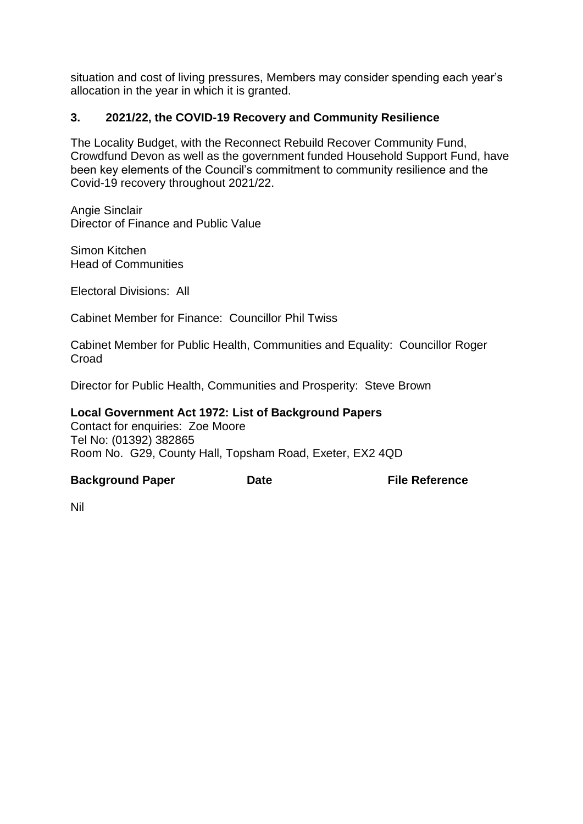situation and cost of living pressures, Members may consider spending each year's allocation in the year in which it is granted.

## **3. 2021/22, the COVID-19 Recovery and Community Resilience**

The Locality Budget, with the Reconnect Rebuild Recover Community Fund, Crowdfund Devon as well as the government funded Household Support Fund, have been key elements of the Council's commitment to community resilience and the Covid-19 recovery throughout 2021/22.

Angie Sinclair Director of Finance and Public Value

Simon Kitchen Head of Communities

Electoral Divisions: All

Cabinet Member for Finance: Councillor Phil Twiss

Cabinet Member for Public Health, Communities and Equality: Councillor Roger **Croad** 

Director for Public Health, Communities and Prosperity: Steve Brown

#### **Local Government Act 1972: List of Background Papers**

Contact for enquiries: Zoe Moore Tel No: (01392) 382865 Room No. G29, County Hall, Topsham Road, Exeter, EX2 4QD

#### **Background Paper Date File Reference**

Nil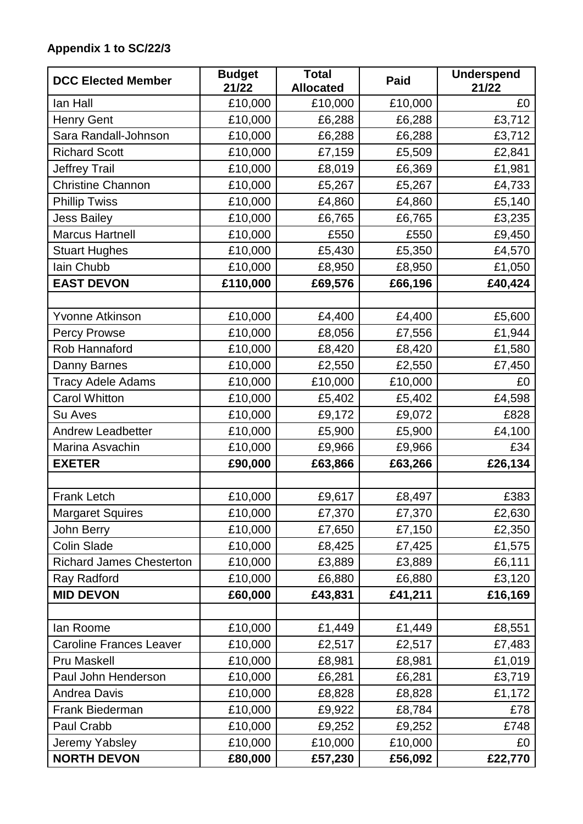# **Appendix 1 to SC/22/3**

| <b>DCC Elected Member</b>       | <b>Budget</b><br>21/22 | <b>Total</b><br><b>Allocated</b> | <b>Paid</b> | <b>Underspend</b><br>21/22 |
|---------------------------------|------------------------|----------------------------------|-------------|----------------------------|
| lan Hall                        | £10,000                | £10,000                          | £10,000     | £0                         |
| <b>Henry Gent</b>               | £10,000                | £6,288                           | £6,288      | £3,712                     |
| Sara Randall-Johnson            | £10,000                | £6,288                           | £6,288      | £3,712                     |
| <b>Richard Scott</b>            | £10,000                | £7,159                           | £5,509      | £2,841                     |
| Jeffrey Trail                   | £10,000                | £8,019                           | £6,369      | £1,981                     |
| <b>Christine Channon</b>        | £10,000                | £5,267                           | £5,267      | £4,733                     |
| <b>Phillip Twiss</b>            | £10,000                | £4,860                           | £4,860      | £5,140                     |
| <b>Jess Bailey</b>              | £10,000                | £6,765                           | £6,765      | £3,235                     |
| <b>Marcus Hartnell</b>          | £10,000                | £550                             | £550        | £9,450                     |
| <b>Stuart Hughes</b>            | £10,000                | £5,430                           | £5,350      | £4,570                     |
| lain Chubb                      | £10,000                | £8,950                           | £8,950      | £1,050                     |
| <b>EAST DEVON</b>               | £110,000               | £69,576                          | £66,196     | £40,424                    |
|                                 |                        |                                  |             |                            |
| <b>Yvonne Atkinson</b>          | £10,000                | £4,400                           | £4,400      | £5,600                     |
| <b>Percy Prowse</b>             | £10,000                | £8,056                           | £7,556      | £1,944                     |
| Rob Hannaford                   | £10,000                | £8,420                           | £8,420      | £1,580                     |
| Danny Barnes                    | £10,000                | £2,550                           | £2,550      | £7,450                     |
| <b>Tracy Adele Adams</b>        | £10,000                | £10,000                          | £10,000     | £0                         |
| <b>Carol Whitton</b>            | £10,000                | £5,402                           | £5,402      | £4,598                     |
| Su Aves                         | £10,000                | £9,172                           | £9,072      | £828                       |
| <b>Andrew Leadbetter</b>        | £10,000                | £5,900                           | £5,900      | £4,100                     |
| Marina Asvachin                 | £10,000                | £9,966                           | £9,966      | £34                        |
| <b>EXETER</b>                   | £90,000                | £63,866                          | £63,266     | £26,134                    |
|                                 |                        |                                  |             |                            |
| <b>Frank Letch</b>              | £10,000                | £9,617                           | £8,497      | £383                       |
| <b>Margaret Squires</b>         | £10,000                | £7,370                           | £7,370      | £2,630                     |
| John Berry                      | £10,000                | £7,650                           | £7,150      | £2,350                     |
| <b>Colin Slade</b>              | £10,000                | £8,425                           | £7,425      | £1,575                     |
| <b>Richard James Chesterton</b> | £10,000                | £3,889                           | £3,889      | £6,111                     |
| Ray Radford                     | £10,000                | £6,880                           | £6,880      | £3,120                     |
| <b>MID DEVON</b>                | £60,000                | £43,831                          | £41,211     | £16,169                    |
|                                 |                        |                                  |             |                            |
| lan Roome                       | £10,000                | £1,449                           | £1,449      | £8,551                     |
| <b>Caroline Frances Leaver</b>  | £10,000                | £2,517                           | £2,517      | £7,483                     |
| <b>Pru Maskell</b>              | £10,000                | £8,981                           | £8,981      | £1,019                     |
| Paul John Henderson             | £10,000                | £6,281                           | £6,281      | £3,719                     |
| <b>Andrea Davis</b>             | £10,000                | £8,828                           | £8,828      | £1,172                     |
| Frank Biederman                 | £10,000                | £9,922                           | £8,784      | £78                        |
| Paul Crabb                      | £10,000                | £9,252                           | £9,252      | £748                       |
| Jeremy Yabsley                  | £10,000                | £10,000                          | £10,000     | £0                         |
| <b>NORTH DEVON</b>              | £80,000                | £57,230                          | £56,092     | £22,770                    |